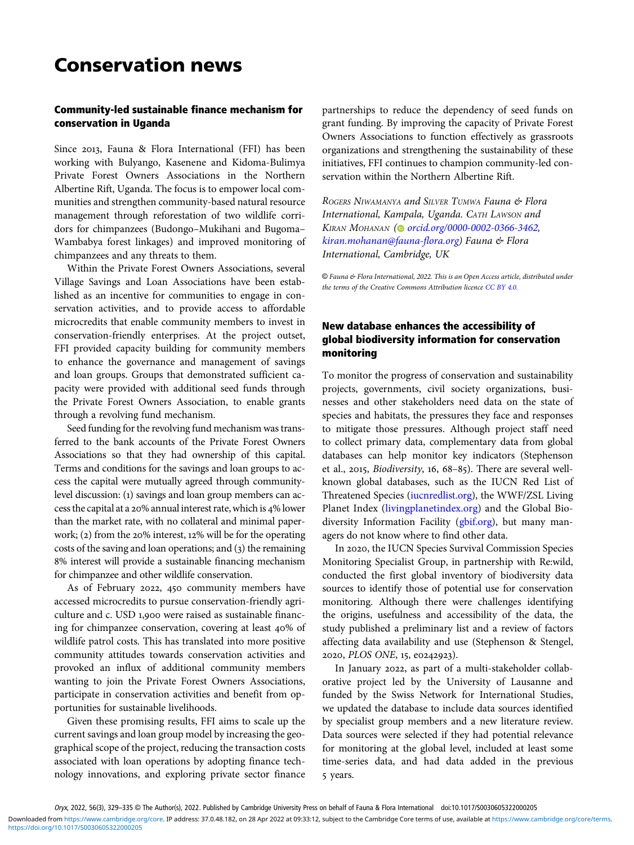# Conservation news

## Community-led sustainable finance mechanism for conservation in Uganda

Since 2013, Fauna & Flora International (FFI) has been working with Bulyango, Kasenene and Kidoma-Bulimya Private Forest Owners Associations in the Northern Albertine Rift, Uganda. The focus is to empower local communities and strengthen community-based natural resource management through reforestation of two wildlife corridors for chimpanzees (Budongo–Mukihani and Bugoma– Wambabya forest linkages) and improved monitoring of chimpanzees and any threats to them.

Within the Private Forest Owners Associations, several Village Savings and Loan Associations have been established as an incentive for communities to engage in conservation activities, and to provide access to affordable microcredits that enable community members to invest in conservation-friendly enterprises. At the project outset, FFI provided capacity building for community members to enhance the governance and management of savings and loan groups. Groups that demonstrated sufficient capacity were provided with additional seed funds through the Private Forest Owners Association, to enable grants through a revolving fund mechanism.

Seed funding for the revolving fund mechanism was transferred to the bank accounts of the Private Forest Owners Associations so that they had ownership of this capital. Terms and conditions for the savings and loan groups to access the capital were mutually agreed through communitylevel discussion: (1) savings and loan group members can access the capital at a 20% annual interest rate, which is 4% lower than the market rate, with no collateral and minimal paperwork;  $(2)$  from the 20% interest, 12% will be for the operating costs of the saving and loan operations; and  $(3)$  the remaining % interest will provide a sustainable financing mechanism for chimpanzee and other wildlife conservation.

As of February 2022, 450 community members have accessed microcredits to pursue conservation-friendly agriculture and c. USD 1,900 were raised as sustainable financing for chimpanzee conservation, covering at least 40% of wildlife patrol costs. This has translated into more positive community attitudes towards conservation activities and provoked an influx of additional community members wanting to join the Private Forest Owners Associations, participate in conservation activities and benefit from opportunities for sustainable livelihoods.

Given these promising results, FFI aims to scale up the current savings and loan group model by increasing the geographical scope of the project, reducing the transaction costs associated with loan operations by adopting finance technology innovations, and exploring private sector finance partnerships to reduce the dependency of seed funds on grant funding. By improving the capacity of Private Forest Owners Associations to function effectively as grassroots organizations and strengthening the sustainability of these initiatives, FFI continues to champion community-led conservation within the Northern Albertine Rift.

ROGERS NIWAMANYA and SILVER TUMWA Fauna & Flora International, Kampala, Uganda. CATH LAWSON and KIRAN MOHANAN [\(](https://orcid.org)@ [orcid.org/0000-0002-0366-3462](https://orcid.org/0000-0002-0366-3462), [kiran.mohanan@fauna-flora.org](mailto:�kiran.�mohanan@fauna-flora.org)) Fauna & Flora International, Cambridge, UK

© Fauna & Flora International, 2022. This is an Open Access article, distributed under the terms of the Creative Commons Attribution licence [CC BY 4.0.](https://creativecommons.org/licenses/by/4.0/)

## New database enhances the accessibility of global biodiversity information for conservation monitoring

To monitor the progress of conservation and sustainability projects, governments, civil society organizations, businesses and other stakeholders need data on the state of species and habitats, the pressures they face and responses to mitigate those pressures. Although project staff need to collect primary data, complementary data from global databases can help monitor key indicators (Stephenson et al., 2015, *Biodiversity*, 16,  $68-85$ ). There are several wellknown global databases, such as the IUCN Red List of Threatened Species ([iucnredlist.org](http://www.iucnredlist.org)), the WWF/ZSL Living Planet Index [\(livingplanetindex.org\)](http://www.livingplanetindex.org) and the Global Biodiversity Information Facility [\(gbif.org](gbif.org)), but many managers do not know where to find other data.

In 2020, the IUCN Species Survival Commission Species Monitoring Specialist Group, in partnership with Re:wild, conducted the first global inventory of biodiversity data sources to identify those of potential use for conservation monitoring. Although there were challenges identifying the origins, usefulness and accessibility of the data, the study published a preliminary list and a review of factors affecting data availability and use (Stephenson & Stengel, 2020, PLOS ONE, 15, e0242923).

In January 2022, as part of a multi-stakeholder collaborative project led by the University of Lausanne and funded by the Swiss Network for International Studies, we updated the database to include data sources identified by specialist group members and a new literature review. Data sources were selected if they had potential relevance for monitoring at the global level, included at least some time-series data, and had data added in the previous 5 years.